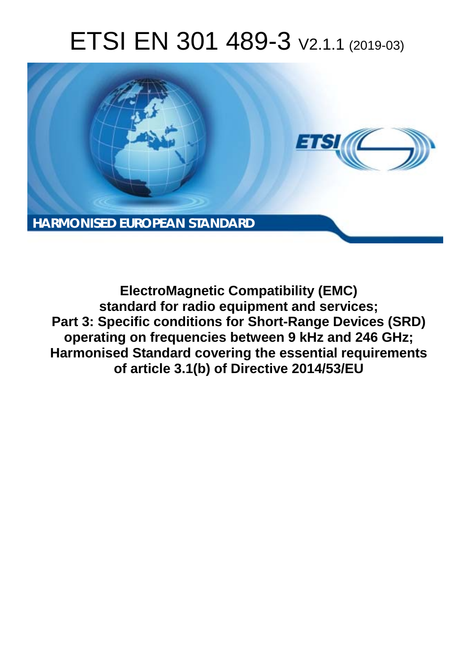# ETSI EN 301 489-3 V2.1.1 (2019-03)



**ElectroMagnetic Compatibility (EMC) standard for radio equipment and services; Part 3: Specific conditions for Short-Range Devices (SRD) operating on frequencies between 9 kHz and 246 GHz; Harmonised Standard covering the essential requirements of article 3.1(b) of Directive 2014/53/EU**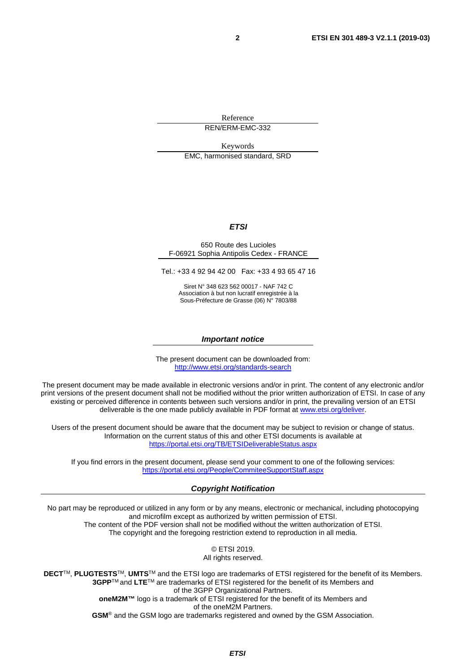Reference REN/ERM-EMC-332

Keywords

EMC, harmonised standard, SRD

#### *ETSI*

#### 650 Route des Lucioles F-06921 Sophia Antipolis Cedex - FRANCE

Tel.: +33 4 92 94 42 00 Fax: +33 4 93 65 47 16

Siret N° 348 623 562 00017 - NAF 742 C Association à but non lucratif enregistrée à la Sous-Préfecture de Grasse (06) N° 7803/88

#### *Important notice*

The present document can be downloaded from: <http://www.etsi.org/standards-search>

The present document may be made available in electronic versions and/or in print. The content of any electronic and/or print versions of the present document shall not be modified without the prior written authorization of ETSI. In case of any existing or perceived difference in contents between such versions and/or in print, the prevailing version of an ETSI deliverable is the one made publicly available in PDF format at [www.etsi.org/deliver](http://www.etsi.org/deliver).

Users of the present document should be aware that the document may be subject to revision or change of status. Information on the current status of this and other ETSI documents is available at <https://portal.etsi.org/TB/ETSIDeliverableStatus.aspx>

If you find errors in the present document, please send your comment to one of the following services: <https://portal.etsi.org/People/CommiteeSupportStaff.aspx>

#### *Copyright Notification*

No part may be reproduced or utilized in any form or by any means, electronic or mechanical, including photocopying and microfilm except as authorized by written permission of ETSI. The content of the PDF version shall not be modified without the written authorization of ETSI. The copyright and the foregoing restriction extend to reproduction in all media.

> © ETSI 2019. All rights reserved.

**DECT**TM, **PLUGTESTS**TM, **UMTS**TM and the ETSI logo are trademarks of ETSI registered for the benefit of its Members. **3GPP**TM and **LTE**TM are trademarks of ETSI registered for the benefit of its Members and of the 3GPP Organizational Partners. **oneM2M™** logo is a trademark of ETSI registered for the benefit of its Members and of the oneM2M Partners. **GSM**® and the GSM logo are trademarks registered and owned by the GSM Association.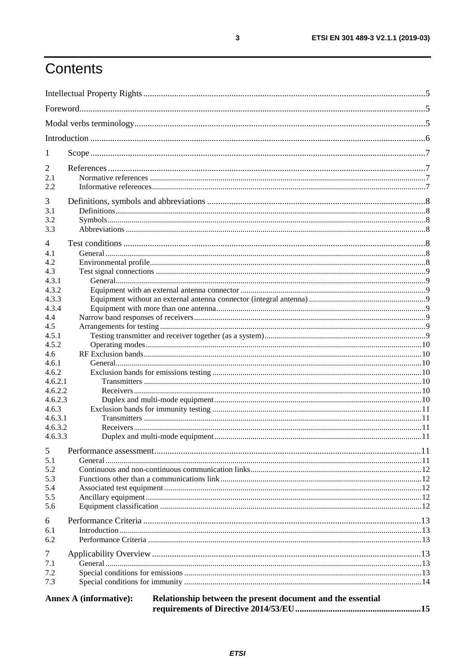# Contents

| 1            |                                                                                              |  |  |  |  |
|--------------|----------------------------------------------------------------------------------------------|--|--|--|--|
| 2            |                                                                                              |  |  |  |  |
| 2.1          |                                                                                              |  |  |  |  |
| 2.2.         |                                                                                              |  |  |  |  |
| 3            |                                                                                              |  |  |  |  |
| 3.1          |                                                                                              |  |  |  |  |
| 3.2          |                                                                                              |  |  |  |  |
| 3.3          |                                                                                              |  |  |  |  |
| 4            |                                                                                              |  |  |  |  |
| 4.1          |                                                                                              |  |  |  |  |
| 4.2          |                                                                                              |  |  |  |  |
| 4.3          |                                                                                              |  |  |  |  |
| 4.3.1        |                                                                                              |  |  |  |  |
| 4.3.2        |                                                                                              |  |  |  |  |
| 4.3.3        |                                                                                              |  |  |  |  |
| 4.3.4        |                                                                                              |  |  |  |  |
| 4.4          |                                                                                              |  |  |  |  |
| 4.5<br>4.5.1 |                                                                                              |  |  |  |  |
| 4.5.2        |                                                                                              |  |  |  |  |
| 4.6          |                                                                                              |  |  |  |  |
| 4.6.1        |                                                                                              |  |  |  |  |
| 4.6.2        |                                                                                              |  |  |  |  |
| 4.6.2.1      |                                                                                              |  |  |  |  |
| 4.6.2.2      |                                                                                              |  |  |  |  |
| 4.6.2.3      |                                                                                              |  |  |  |  |
| 4.6.3        |                                                                                              |  |  |  |  |
| 4.6.3.1      |                                                                                              |  |  |  |  |
| 4.6.3.2      |                                                                                              |  |  |  |  |
| 4.6.3.3      |                                                                                              |  |  |  |  |
| 5            |                                                                                              |  |  |  |  |
| 5.1          |                                                                                              |  |  |  |  |
| 5.2          |                                                                                              |  |  |  |  |
| 5.3          |                                                                                              |  |  |  |  |
| 5.4          |                                                                                              |  |  |  |  |
| 5.5<br>5.6   |                                                                                              |  |  |  |  |
|              |                                                                                              |  |  |  |  |
| 6            |                                                                                              |  |  |  |  |
| 6.1          |                                                                                              |  |  |  |  |
| 6.2          |                                                                                              |  |  |  |  |
| 7            |                                                                                              |  |  |  |  |
| 7.1          |                                                                                              |  |  |  |  |
| 7.2          |                                                                                              |  |  |  |  |
| 7.3          |                                                                                              |  |  |  |  |
|              |                                                                                              |  |  |  |  |
|              | Relationship between the present document and the essential<br><b>Annex A (informative):</b> |  |  |  |  |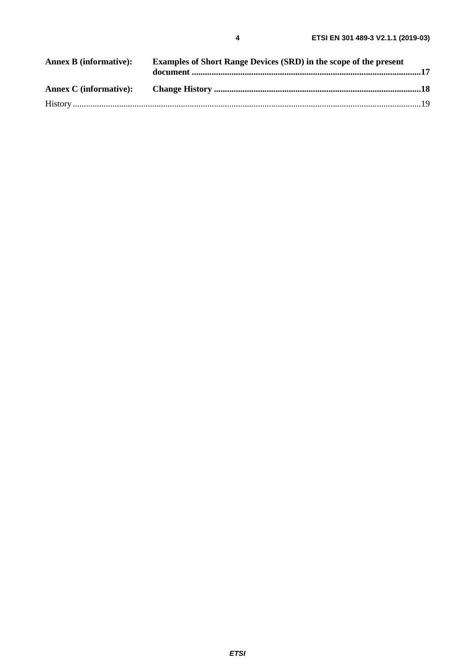| <b>Annex B (informative):</b> | <b>Examples of Short Range Devices (SRD) in the scope of the present</b> |  |
|-------------------------------|--------------------------------------------------------------------------|--|
|                               |                                                                          |  |
|                               |                                                                          |  |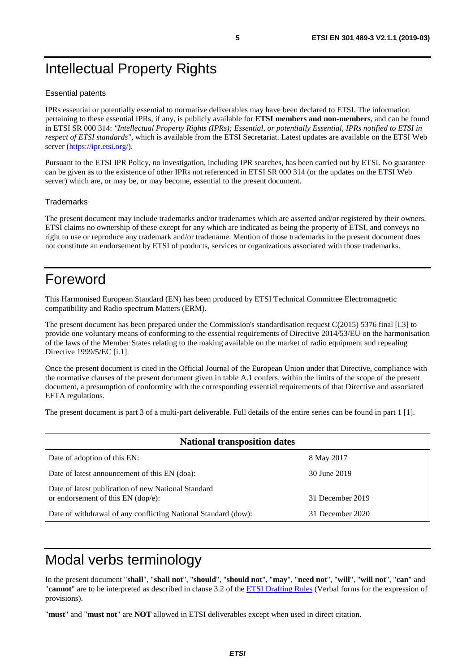# <span id="page-4-0"></span>Intellectual Property Rights

#### Essential patents

IPRs essential or potentially essential to normative deliverables may have been declared to ETSI. The information pertaining to these essential IPRs, if any, is publicly available for **ETSI members and non-members**, and can be found in ETSI SR 000 314: *"Intellectual Property Rights (IPRs); Essential, or potentially Essential, IPRs notified to ETSI in respect of ETSI standards"*, which is available from the ETSI Secretariat. Latest updates are available on the ETSI Web server (<https://ipr.etsi.org/>).

Pursuant to the ETSI IPR Policy, no investigation, including IPR searches, has been carried out by ETSI. No guarantee can be given as to the existence of other IPRs not referenced in ETSI SR 000 314 (or the updates on the ETSI Web server) which are, or may be, or may become, essential to the present document.

#### **Trademarks**

The present document may include trademarks and/or tradenames which are asserted and/or registered by their owners. ETSI claims no ownership of these except for any which are indicated as being the property of ETSI, and conveys no right to use or reproduce any trademark and/or tradename. Mention of those trademarks in the present document does not constitute an endorsement by ETSI of products, services or organizations associated with those trademarks.

# Foreword

This Harmonised European Standard (EN) has been produced by ETSI Technical Committee Electromagnetic compatibility and Radio spectrum Matters (ERM).

The present document has been prepared under the Commission's standardisation request C(2015) 5376 final [\[i.3\]](#page-7-0) to provide one voluntary means of conforming to the essential requirements of Directive 2014/53/EU on the harmonisation of the laws of the Member States relating to the making available on the market of radio equipment and repealing Directive 1999/5/EC [\[i.1](#page-6-0)].

Once the present document is cited in the Official Journal of the European Union under that Directive, compliance with the normative clauses of the present document given in table A.1 confers, within the limits of the scope of the present document, a presumption of conformity with the corresponding essential requirements of that Directive and associated EFTA regulations.

The present document is part 3 of a multi-part deliverable. Full details of the entire series can be found in part 1 [[1\]](#page-6-0).

| <b>National transposition dates</b>                                                       |                  |  |  |  |
|-------------------------------------------------------------------------------------------|------------------|--|--|--|
| Date of adoption of this EN:                                                              | 8 May 2017       |  |  |  |
| Date of latest announcement of this EN (doa):                                             | 30 June 2019     |  |  |  |
| Date of latest publication of new National Standard<br>or endorsement of this EN (dop/e): | 31 December 2019 |  |  |  |
| Date of withdrawal of any conflicting National Standard (dow):                            | 31 December 2020 |  |  |  |

# Modal verbs terminology

In the present document "**shall**", "**shall not**", "**should**", "**should not**", "**may**", "**need not**", "**will**", "**will not**", "**can**" and "**cannot**" are to be interpreted as described in clause 3.2 of the [ETSI Drafting Rules](https://portal.etsi.org/Services/editHelp!/Howtostart/ETSIDraftingRules.aspx) (Verbal forms for the expression of provisions).

"**must**" and "**must not**" are **NOT** allowed in ETSI deliverables except when used in direct citation.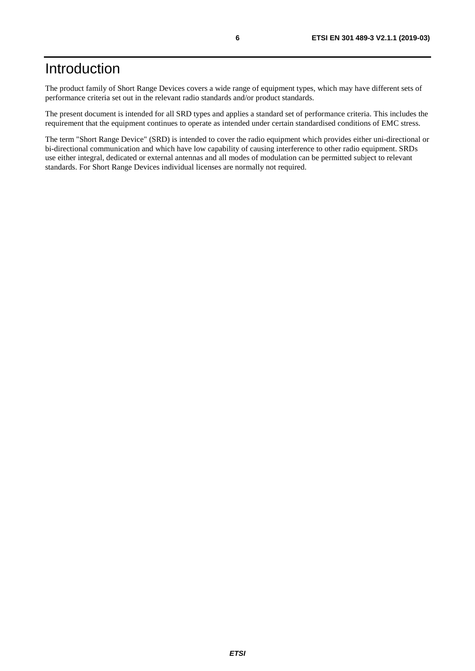# <span id="page-5-0"></span>Introduction

The product family of Short Range Devices covers a wide range of equipment types, which may have different sets of performance criteria set out in the relevant radio standards and/or product standards.

The present document is intended for all SRD types and applies a standard set of performance criteria. This includes the requirement that the equipment continues to operate as intended under certain standardised conditions of EMC stress.

The term "Short Range Device" (SRD) is intended to cover the radio equipment which provides either uni-directional or bi-directional communication and which have low capability of causing interference to other radio equipment. SRDs use either integral, dedicated or external antennas and all modes of modulation can be permitted subject to relevant standards. For Short Range Devices individual licenses are normally not required.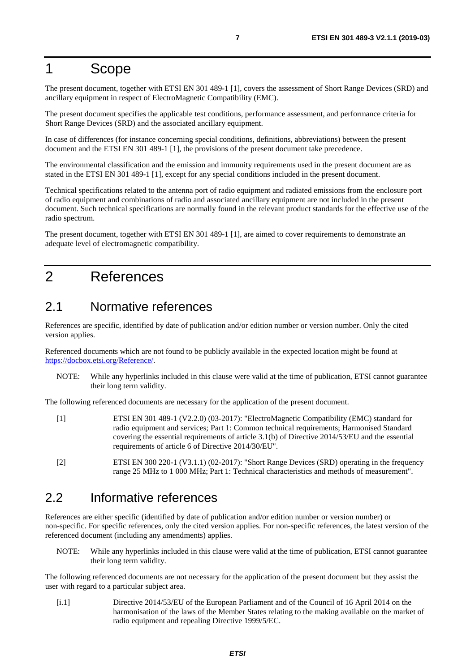### <span id="page-6-0"></span>1 Scope

The present document, together with ETSI EN 301 489-1 [1], covers the assessment of Short Range Devices (SRD) and ancillary equipment in respect of ElectroMagnetic Compatibility (EMC).

The present document specifies the applicable test conditions, performance assessment, and performance criteria for Short Range Devices (SRD) and the associated ancillary equipment.

In case of differences (for instance concerning special conditions, definitions, abbreviations) between the present document and the ETSI EN 301 489-1 [1], the provisions of the present document take precedence.

The environmental classification and the emission and immunity requirements used in the present document are as stated in the ETSI EN 301 489-1 [1], except for any special conditions included in the present document.

Technical specifications related to the antenna port of radio equipment and radiated emissions from the enclosure port of radio equipment and combinations of radio and associated ancillary equipment are not included in the present document. Such technical specifications are normally found in the relevant product standards for the effective use of the radio spectrum.

The present document, together with ETSI EN 301 489-1 [1], are aimed to cover requirements to demonstrate an adequate level of electromagnetic compatibility.

# 2 References

### 2.1 Normative references

References are specific, identified by date of publication and/or edition number or version number. Only the cited version applies.

Referenced documents which are not found to be publicly available in the expected location might be found at <https://docbox.etsi.org/Reference/>.

NOTE: While any hyperlinks included in this clause were valid at the time of publication, ETSI cannot guarantee their long term validity.

The following referenced documents are necessary for the application of the present document.

- [1] ETSI EN 301 489-1 (V2.2.0) (03-2017): "ElectroMagnetic Compatibility (EMC) standard for radio equipment and services; Part 1: Common technical requirements; Harmonised Standard covering the essential requirements of article 3.1(b) of Directive 2014/53/EU and the essential requirements of article 6 of Directive 2014/30/EU".
- [2] ETSI EN 300 220-1 (V3.1.1) (02-2017): "Short Range Devices (SRD) operating in the frequency range 25 MHz to 1 000 MHz; Part 1: Technical characteristics and methods of measurement".

### 2.2 Informative references

References are either specific (identified by date of publication and/or edition number or version number) or non-specific. For specific references, only the cited version applies. For non-specific references, the latest version of the referenced document (including any amendments) applies.

NOTE: While any hyperlinks included in this clause were valid at the time of publication, ETSI cannot guarantee their long term validity.

The following referenced documents are not necessary for the application of the present document but they assist the user with regard to a particular subject area.

[i.1] Directive 2014/53/EU of the European Parliament and of the Council of 16 April 2014 on the harmonisation of the laws of the Member States relating to the making available on the market of radio equipment and repealing Directive 1999/5/EC.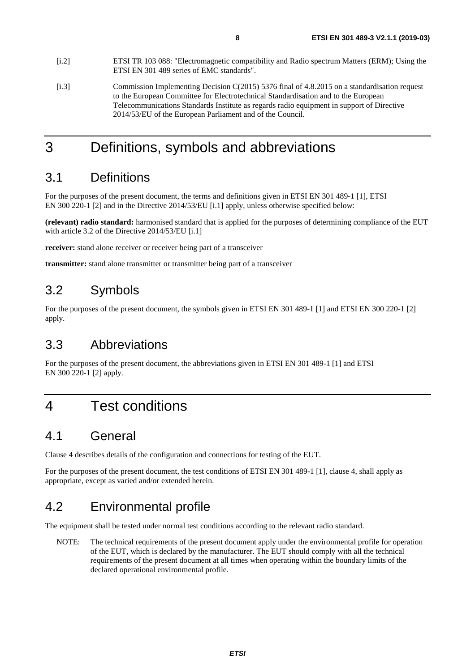<span id="page-7-0"></span>to the European Committee for Electrotechnical Standardisation and to the European Telecommunications Standards Institute as regards radio equipment in support of Directive 2014/53/EU of the European Parliament and of the Council.

# 3 Definitions, symbols and abbreviations

### 3.1 Definitions

For the purposes of the present document, the terms and definitions given in ETSI EN 301 489-1 [[1\]](#page-6-0), ETSI EN 300 220-1 [\[2](#page-6-0)] and in the Directive 2014/53/EU [\[i.1](#page-6-0)] apply, unless otherwise specified below:

**(relevant) radio standard:** harmonised standard that is applied for the purposes of determining compliance of the EUT with article 3.2 of the Directive 2014/53/EU [\[i.1](#page-6-0)]

**receiver:** stand alone receiver or receiver being part of a transceiver

**transmitter:** stand alone transmitter or transmitter being part of a transceiver

### 3.2 Symbols

For the purposes of the present document, the symbols given in ETSI EN 301 489-1 [[1\]](#page-6-0) and ETSI EN 300 220-1 [\[2](#page-6-0)] apply.

### 3.3 Abbreviations

For the purposes of the present document, the abbreviations given in ETSI EN 301 489-1 [\[1](#page-6-0)] and ETSI EN 300 220-1 [\[2](#page-6-0)] apply.

# 4 Test conditions

### 4.1 General

Clause 4 describes details of the configuration and connections for testing of the EUT.

For the purposes of the present document, the test conditions of ETSI EN 301 489-1 [\[1](#page-6-0)], clause 4, shall apply as appropriate, except as varied and/or extended herein.

# 4.2 Environmental profile

The equipment shall be tested under normal test conditions according to the relevant radio standard.

NOTE: The technical requirements of the present document apply under the environmental profile for operation of the EUT, which is declared by the manufacturer. The EUT should comply with all the technical requirements of the present document at all times when operating within the boundary limits of the declared operational environmental profile.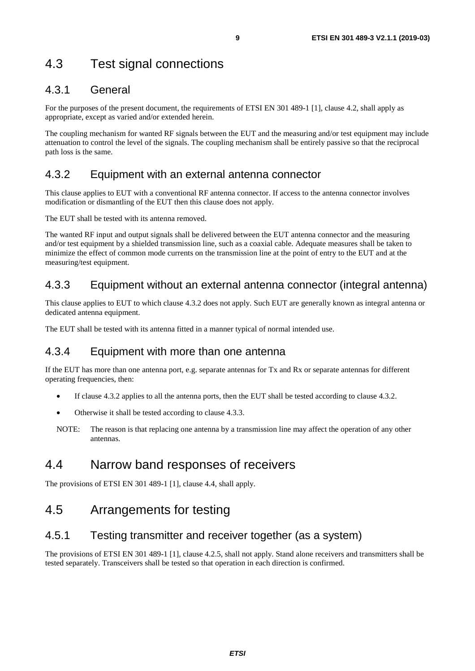# <span id="page-8-0"></span>4.3 Test signal connections

### 4.3.1 General

For the purposes of the present document, the requirements of ETSI EN 301 489-1 [\[1](#page-6-0)], clause 4.2, shall apply as appropriate, except as varied and/or extended herein.

The coupling mechanism for wanted RF signals between the EUT and the measuring and/or test equipment may include attenuation to control the level of the signals. The coupling mechanism shall be entirely passive so that the reciprocal path loss is the same.

### 4.3.2 Equipment with an external antenna connector

This clause applies to EUT with a conventional RF antenna connector. If access to the antenna connector involves modification or dismantling of the EUT then this clause does not apply.

The EUT shall be tested with its antenna removed.

The wanted RF input and output signals shall be delivered between the EUT antenna connector and the measuring and/or test equipment by a shielded transmission line, such as a coaxial cable. Adequate measures shall be taken to minimize the effect of common mode currents on the transmission line at the point of entry to the EUT and at the measuring/test equipment.

### 4.3.3 Equipment without an external antenna connector (integral antenna)

This clause applies to EUT to which clause 4.3.2 does not apply. Such EUT are generally known as integral antenna or dedicated antenna equipment.

The EUT shall be tested with its antenna fitted in a manner typical of normal intended use.

### 4.3.4 Equipment with more than one antenna

If the EUT has more than one antenna port, e.g. separate antennas for Tx and Rx or separate antennas for different operating frequencies, then:

- If clause 4.3.2 applies to all the antenna ports, then the EUT shall be tested according to clause 4.3.2.
- Otherwise it shall be tested according to clause 4.3.3.
- NOTE: The reason is that replacing one antenna by a transmission line may affect the operation of any other antennas.

### 4.4 Narrow band responses of receivers

The provisions of ETSI EN 301 489-1 [[1\]](#page-6-0), clause 4.4, shall apply.

### 4.5 Arrangements for testing

### 4.5.1 Testing transmitter and receiver together (as a system)

The provisions of ETSI EN 301 489-1 [[1\]](#page-6-0), clause 4.2.5, shall not apply. Stand alone receivers and transmitters shall be tested separately. Transceivers shall be tested so that operation in each direction is confirmed.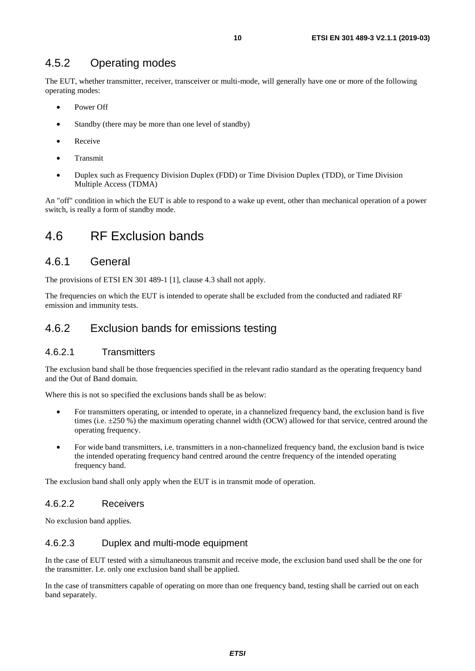### <span id="page-9-0"></span>4.5.2 Operating modes

The EUT, whether transmitter, receiver, transceiver or multi-mode, will generally have one or more of the following operating modes:

- Power Off
- Standby (there may be more than one level of standby)
- Receive
- Transmit
- Duplex such as Frequency Division Duplex (FDD) or Time Division Duplex (TDD), or Time Division Multiple Access (TDMA)

An "off" condition in which the EUT is able to respond to a wake up event, other than mechanical operation of a power switch, is really a form of standby mode.

### 4.6 RF Exclusion bands

### 4.6.1 General

The provisions of ETSI EN 301 489-1 [[1\]](#page-6-0), clause 4.3 shall not apply.

The frequencies on which the EUT is intended to operate shall be excluded from the conducted and radiated RF emission and immunity tests.

### 4.6.2 Exclusion bands for emissions testing

#### 4.6.2.1 Transmitters

The exclusion band shall be those frequencies specified in the relevant radio standard as the operating frequency band and the Out of Band domain.

Where this is not so specified the exclusions bands shall be as below:

- For transmitters operating, or intended to operate, in a channelized frequency band, the exclusion band is five times (i.e. ±250 %) the maximum operating channel width (OCW) allowed for that service, centred around the operating frequency.
- For wide band transmitters, i.e. transmitters in a non-channelized frequency band, the exclusion band is twice the intended operating frequency band centred around the centre frequency of the intended operating frequency band.

The exclusion band shall only apply when the EUT is in transmit mode of operation.

#### 4.6.2.2 Receivers

No exclusion band applies.

#### 4.6.2.3 Duplex and multi-mode equipment

In the case of EUT tested with a simultaneous transmit and receive mode, the exclusion band used shall be the one for the transmitter. I.e. only one exclusion band shall be applied.

In the case of transmitters capable of operating on more than one frequency band, testing shall be carried out on each band separately.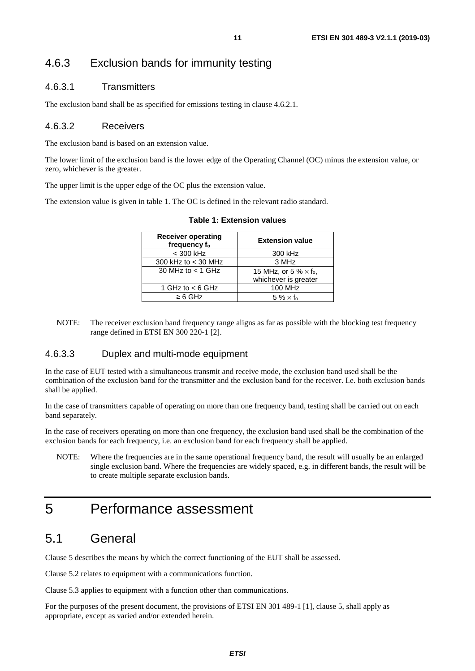### <span id="page-10-0"></span>4.6.3 Exclusion bands for immunity testing

#### 4.6.3.1 Transmitters

The exclusion band shall be as specified for emissions testing in clause 4.6.2.1.

#### 4.6.3.2 Receivers

The exclusion band is based on an extension value.

The lower limit of the exclusion band is the lower edge of the Operating Channel (OC) minus the extension value, or zero, whichever is the greater.

The upper limit is the upper edge of the OC plus the extension value.

The extension value is given in table 1. The OC is defined in the relevant radio standard.

| <b>Receiver operating</b><br>frequency f <sub>o</sub> | <b>Extension value</b>                                           |
|-------------------------------------------------------|------------------------------------------------------------------|
| $<$ 300 kHz                                           | 300 kHz                                                          |
| 300 kHz to $<$ 30 MHz                                 | 3 MHz                                                            |
| 30 MHz to $<$ 1 GHz                                   | 15 MHz, or 5 % $\times$ f <sub>o</sub> ,<br>whichever is greater |
| 1 GHz to $<$ 6 GHz                                    | <b>100 MHz</b>                                                   |
| $\geq 6$ GHz                                          | $5\% \times f_0$                                                 |
|                                                       |                                                                  |

#### **Table 1: Extension values**

NOTE: The receiver exclusion band frequency range aligns as far as possible with the blocking test frequency range defined in ETSI EN 300 220-1 [\[2\]](#page-6-0).

#### 4.6.3.3 Duplex and multi-mode equipment

In the case of EUT tested with a simultaneous transmit and receive mode, the exclusion band used shall be the combination of the exclusion band for the transmitter and the exclusion band for the receiver. I.e. both exclusion bands shall be applied.

In the case of transmitters capable of operating on more than one frequency band, testing shall be carried out on each band separately.

In the case of receivers operating on more than one frequency, the exclusion band used shall be the combination of the exclusion bands for each frequency, i.e. an exclusion band for each frequency shall be applied.

NOTE: Where the frequencies are in the same operational frequency band, the result will usually be an enlarged single exclusion band. Where the frequencies are widely spaced, e.g. in different bands, the result will be to create multiple separate exclusion bands.

# 5 Performance assessment

### 5.1 General

Clause 5 describes the means by which the correct functioning of the EUT shall be assessed.

Clause 5.2 relates to equipment with a communications function.

Clause 5.3 applies to equipment with a function other than communications.

For the purposes of the present document, the provisions of ETSI EN 301 489-1 [[1\]](#page-6-0), clause 5, shall apply as appropriate, except as varied and/or extended herein.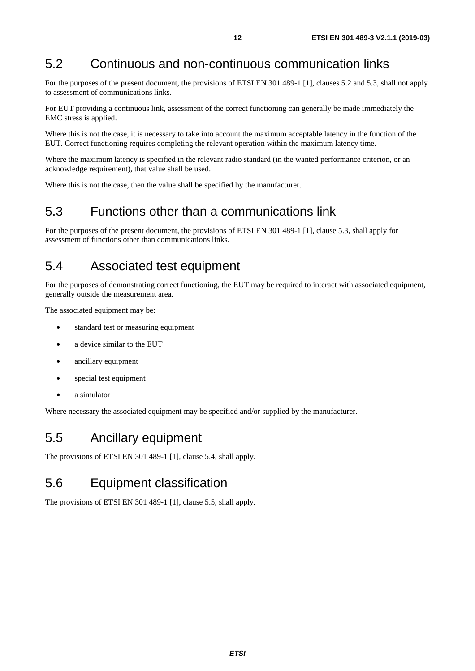# <span id="page-11-0"></span>5.2 Continuous and non-continuous communication links

For the purposes of the present document, the provisions of ETSI EN 301 489-1 [[1\]](#page-6-0), clauses 5.2 and 5.3, shall not apply to assessment of communications links.

For EUT providing a continuous link, assessment of the correct functioning can generally be made immediately the EMC stress is applied.

Where this is not the case, it is necessary to take into account the maximum acceptable latency in the function of the EUT. Correct functioning requires completing the relevant operation within the maximum latency time.

Where the maximum latency is specified in the relevant radio standard (in the wanted performance criterion, or an acknowledge requirement), that value shall be used.

Where this is not the case, then the value shall be specified by the manufacturer.

### 5.3 Functions other than a communications link

For the purposes of the present document, the provisions of ETSI EN 301 489-1 [[1\]](#page-6-0), clause 5.3, shall apply for assessment of functions other than communications links.

### 5.4 Associated test equipment

For the purposes of demonstrating correct functioning, the EUT may be required to interact with associated equipment, generally outside the measurement area.

The associated equipment may be:

- standard test or measuring equipment
- a device similar to the EUT
- ancillary equipment
- special test equipment
- a simulator

Where necessary the associated equipment may be specified and/or supplied by the manufacturer.

### 5.5 Ancillary equipment

The provisions of ETSI EN 301 489-1 [[1\]](#page-6-0), clause 5.4, shall apply.

### 5.6 Equipment classification

The provisions of ETSI EN 301 489-1 [[1\]](#page-6-0), clause 5.5, shall apply.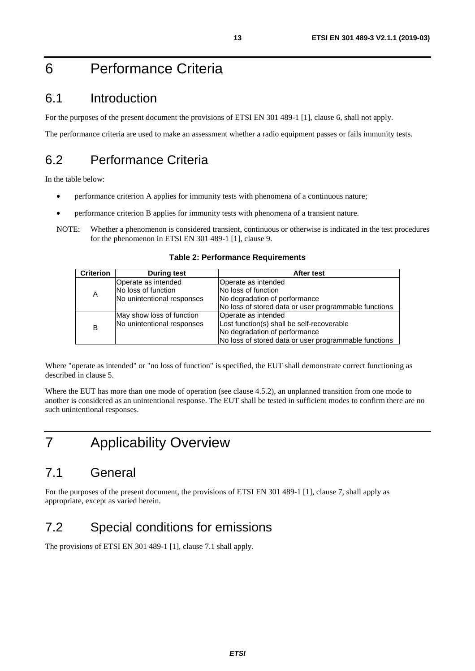# <span id="page-12-0"></span>6 Performance Criteria

### 6.1 Introduction

For the purposes of the present document the provisions of ETSI EN 301 489-1 [\[1](#page-6-0)], clause 6, shall not apply.

The performance criteria are used to make an assessment whether a radio equipment passes or fails immunity tests.

## 6.2 Performance Criteria

In the table below:

- performance criterion A applies for immunity tests with phenomena of a continuous nature;
- performance criterion B applies for immunity tests with phenomena of a transient nature.
- NOTE: Whether a phenomenon is considered transient, continuous or otherwise is indicated in the test procedures for the phenomenon in ETSI EN 301 489-1 [[1\]](#page-6-0), clause 9.

| <b>Criterion</b> | <b>During test</b>         | After test                                            |  |  |
|------------------|----------------------------|-------------------------------------------------------|--|--|
|                  | Operate as intended        | Operate as intended                                   |  |  |
| A                | No loss of function        | No loss of function                                   |  |  |
|                  | No unintentional responses | No degradation of performance                         |  |  |
|                  |                            | No loss of stored data or user programmable functions |  |  |
|                  | May show loss of function  | Operate as intended                                   |  |  |
| B                | No unintentional responses | Lost function(s) shall be self-recoverable            |  |  |
|                  |                            | No degradation of performance                         |  |  |
|                  |                            | No loss of stored data or user programmable functions |  |  |

**Table 2: Performance Requirements** 

Where "operate as intended" or "no loss of function" is specified, the EUT shall demonstrate correct functioning as described in clause 5.

Where the EUT has more than one mode of operation (see clause 4.5.2), an unplanned transition from one mode to another is considered as an unintentional response. The EUT shall be tested in sufficient modes to confirm there are no such unintentional responses.

# 7 Applicability Overview

# 7.1 General

For the purposes of the present document, the provisions of ETSI EN 301 489-1 [[1\]](#page-6-0), clause 7, shall apply as appropriate, except as varied herein.

# 7.2 Special conditions for emissions

The provisions of ETSI EN 301 489-1 [[1\]](#page-6-0), clause 7.1 shall apply.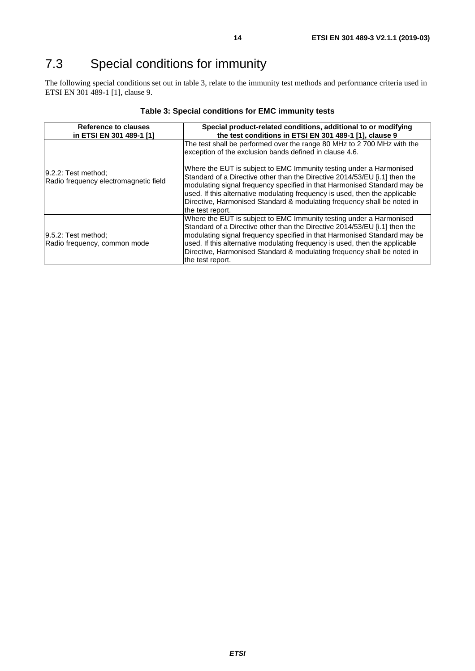# <span id="page-13-0"></span>7.3 Special conditions for immunity

The following special conditions set out in table 3, relate to the immunity test methods and performance criteria used in ETSI EN 301 489-1 [[1\]](#page-6-0), clause 9.

| Reference to clauses<br>in ETSI EN 301 489-1 [1]             | Special product-related conditions, additional to or modifying<br>the test conditions in ETSI EN 301 489-1 [1], clause 9                                                                                                                                                                                                                                                                                    |  |  |
|--------------------------------------------------------------|-------------------------------------------------------------------------------------------------------------------------------------------------------------------------------------------------------------------------------------------------------------------------------------------------------------------------------------------------------------------------------------------------------------|--|--|
|                                                              | The test shall be performed over the range 80 MHz to 2 700 MHz with the<br>exception of the exclusion bands defined in clause 4.6.                                                                                                                                                                                                                                                                          |  |  |
| 9.2.2: Test method;<br>Radio frequency electromagnetic field | Where the EUT is subject to EMC Immunity testing under a Harmonised<br>Standard of a Directive other than the Directive 2014/53/EU [i.1] then the<br>modulating signal frequency specified in that Harmonised Standard may be<br>used. If this alternative modulating frequency is used, then the applicable<br>Directive, Harmonised Standard & modulating frequency shall be noted in<br>the test report. |  |  |
| 9.5.2: Test method:<br>Radio frequency, common mode          | Where the EUT is subject to EMC Immunity testing under a Harmonised<br>Standard of a Directive other than the Directive 2014/53/EU [i.1] then the<br>modulating signal frequency specified in that Harmonised Standard may be<br>used. If this alternative modulating frequency is used, then the applicable<br>Directive, Harmonised Standard & modulating frequency shall be noted in<br>the test report. |  |  |

#### **Table 3: Special conditions for EMC immunity tests**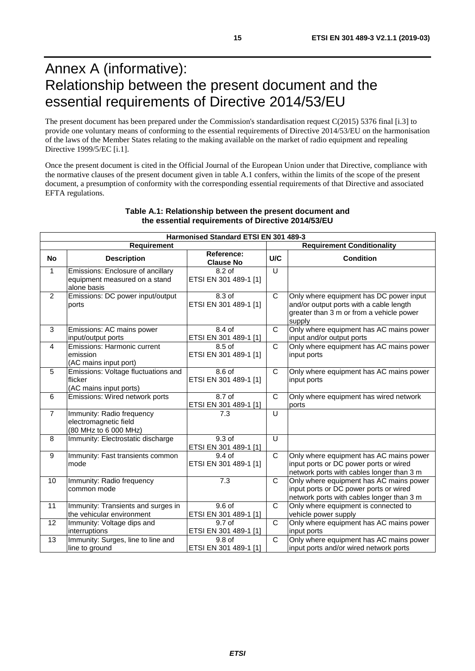# <span id="page-14-0"></span>Annex A (informative): Relationship between the present document and the essential requirements of Directive 2014/53/EU

The present document has been prepared under the Commission's standardisation request C(2015) 5376 final [\[i.3\]](#page-7-0) to provide one voluntary means of conforming to the essential requirements of Directive 2014/53/EU on the harmonisation of the laws of the Member States relating to the making available on the market of radio equipment and repealing Directive 1999/5/EC [\[i.1](#page-6-0)].

Once the present document is cited in the Official Journal of the European Union under that Directive, compliance with the normative clauses of the present document given in table A.1 confers, within the limits of the scope of the present document, a presumption of conformity with the corresponding essential requirements of that Directive and associated EFTA regulations.

| <b>Harmonised Standard ETSI EN 301 489-3</b>     |                                                                                   |                                            |                |                                                                                                                                          |  |  |
|--------------------------------------------------|-----------------------------------------------------------------------------------|--------------------------------------------|----------------|------------------------------------------------------------------------------------------------------------------------------------------|--|--|
| <b>Requirement Conditionality</b><br>Requirement |                                                                                   |                                            |                |                                                                                                                                          |  |  |
| <b>No</b>                                        | <b>Description</b>                                                                | Reference:<br><b>Clause No</b>             | U/C            | <b>Condition</b>                                                                                                                         |  |  |
| 1                                                | Emissions: Enclosure of ancillary<br>equipment measured on a stand<br>alone basis | 8.2 of<br>ETSI EN 301 489-1 [1]            | $\cup$         |                                                                                                                                          |  |  |
| $\overline{2}$                                   | Emissions: DC power input/output<br>ports                                         | $8.3$ of<br>ETSI EN 301 489-1 [1]          | C              | Only where equipment has DC power input<br>and/or output ports with a cable length<br>greater than 3 m or from a vehicle power<br>supply |  |  |
| 3                                                | Emissions: AC mains power<br>input/output ports                                   | 8.4 of<br>ETSI EN 301 489-1 [1]            | C              | Only where equipment has AC mains power<br>input and/or output ports                                                                     |  |  |
| $\overline{4}$                                   | Emissions: Harmonic current<br>emission<br>(AC mains input port)                  | $8.5$ of<br>ETSI EN 301 489-1 [1]          | C              | Only where equipment has AC mains power<br>input ports                                                                                   |  |  |
| 5                                                | Emissions: Voltage fluctuations and<br>flicker<br>(AC mains input ports)          | 8.6 of<br>ETSI EN 301 489-1 [1]            | C              | Only where equipment has AC mains power<br>input ports                                                                                   |  |  |
| 6                                                | Emissions: Wired network ports                                                    | 8.7 of<br>ETSI EN 301 489-1 [1]            | C              | Only where equipment has wired network<br>ports                                                                                          |  |  |
| $\overline{7}$                                   | Immunity: Radio frequency<br>electromagnetic field<br>(80 MHz to 6 000 MHz)       | 7.3                                        | $\cup$         |                                                                                                                                          |  |  |
| 8                                                | Immunity: Electrostatic discharge                                                 | $9.3$ of<br>ETSI EN 301 489-1 [1]          | $\cup$         |                                                                                                                                          |  |  |
| 9                                                | Immunity: Fast transients common<br>mode                                          | $9.4$ of<br>ETSI EN 301 489-1 [1]          | $\mathsf{C}$   | Only where equipment has AC mains power<br>input ports or DC power ports or wired<br>network ports with cables longer than 3 m           |  |  |
| 10                                               | Immunity: Radio frequency<br>common mode                                          | 7.3                                        | $\mathsf{C}$   | Only where equipment has AC mains power<br>input ports or DC power ports or wired<br>network ports with cables longer than 3 m           |  |  |
| 11                                               | Immunity: Transients and surges in<br>the vehicular environment                   | 9.6 <sub>of</sub><br>ETSI EN 301 489-1 [1] | $\overline{C}$ | Only where equipment is connected to<br>vehicle power supply                                                                             |  |  |
| $\overline{12}$                                  | Immunity: Voltage dips and<br>interruptions                                       | 9.7 <sub>of</sub><br>ETSI EN 301 489-1 [1] | $\mathsf{C}$   | Only where equipment has AC mains power<br>input ports                                                                                   |  |  |
| $\overline{13}$                                  | Immunity: Surges, line to line and<br>line to ground                              | 9.8 of<br>ETSI EN 301 489-1 [1]            | $\mathsf{C}$   | Only where equipment has AC mains power<br>input ports and/or wired network ports                                                        |  |  |

#### **Table A.1: Relationship between the present document and the essential requirements of Directive 2014/53/EU**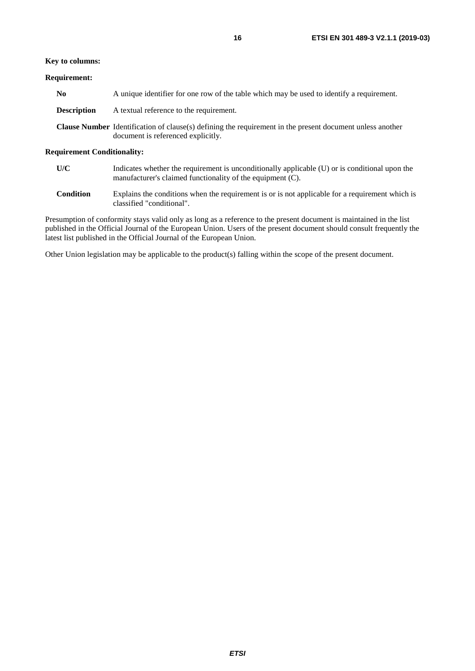#### **Key to columns:**

#### **Requirement:**

| No.                | A unique identifier for one row of the table which may be used to identify a requirement.                                                              |
|--------------------|--------------------------------------------------------------------------------------------------------------------------------------------------------|
| <b>Description</b> | A textual reference to the requirement.                                                                                                                |
|                    | <b>Clause Number</b> Identification of clause(s) defining the requirement in the present document unless another<br>document is referenced explicitly. |

#### **Requirement Conditionality:**

| U/C | Indicates whether the requirement is unconditionally applicable (U) or is conditional upon the |
|-----|------------------------------------------------------------------------------------------------|
|     | manufacturer's claimed functionality of the equipment (C).                                     |

**Condition** Explains the conditions when the requirement is or is not applicable for a requirement which is classified "conditional".

Presumption of conformity stays valid only as long as a reference to the present document is maintained in the list published in the Official Journal of the European Union. Users of the present document should consult frequently the latest list published in the Official Journal of the European Union.

Other Union legislation may be applicable to the product(s) falling within the scope of the present document.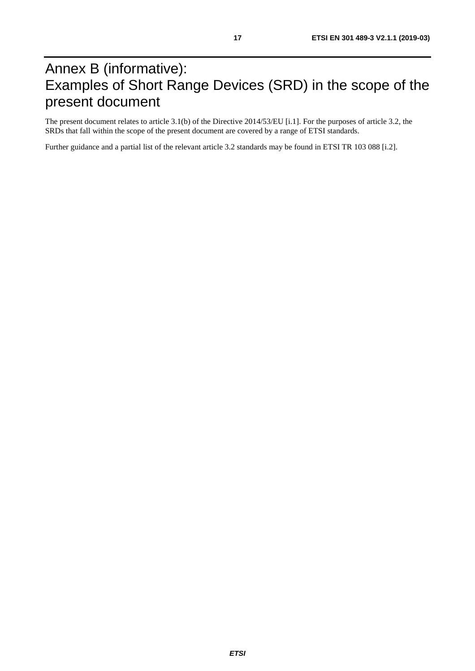# <span id="page-16-0"></span>Annex B (informative): Examples of Short Range Devices (SRD) in the scope of the present document

The present document relates to article 3.1(b) of the Directive 2014/53/EU [[i.1](#page-6-0)]. For the purposes of article 3.2, the SRDs that fall within the scope of the present document are covered by a range of ETSI standards.

Further guidance and a partial list of the relevant article 3.2 standards may be found in ETSI TR 103 088 [[i.2](#page-7-0)].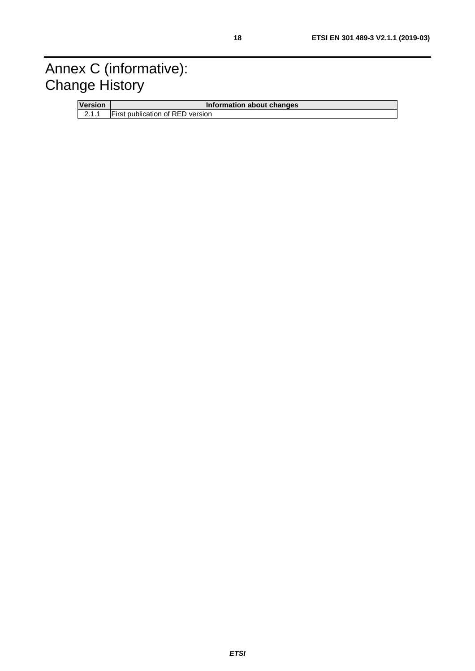# <span id="page-17-0"></span>Annex C (informative): Change History

| <b>Version</b> | Information about changes               |
|----------------|-----------------------------------------|
| 2.1.1          | <b>First publication of RED version</b> |